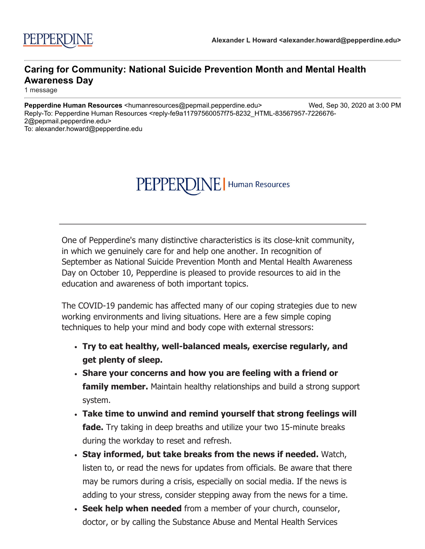## PEPPERDINE | Human Resources

One of Pepperdine's many distinctive characteristics is its close-knit community, in which we genuinely care for and help one another. In recognition of September as National Suicide Prevention Month and Mental Health Awareness Day on October 10, Pepperdine is pleased to provide resources to aid in the education and awareness of both important topics.

The COVID-19 pandemic has affected many of our coping strategies due to new working environments and living situations. Here are a few simple coping techniques to help your mind and body cope with external stressors:

- **Try to eat healthy, well-balanced meals, exercise regularly, and get plenty of sleep.**
- **Share your concerns and how you are feeling with a friend or family member.** Maintain healthy relationships and build a strong support system.
- **Take time to unwind and remind yourself that strong feelings will fade.** Try taking in deep breaths and utilize your two 15-minute breaks during the workday to reset and refresh.
- **Stay informed, but take breaks from the news if needed.** Watch, listen to, or read the news for updates from officials. Be aware that there may be rumors during a crisis, especially on social media. If the news is adding to your stress, consider stepping away from the news for a time.
- **Seek help when needed** from a member of your church, counselor, doctor, or by calling the Substance Abuse and Mental Health Services